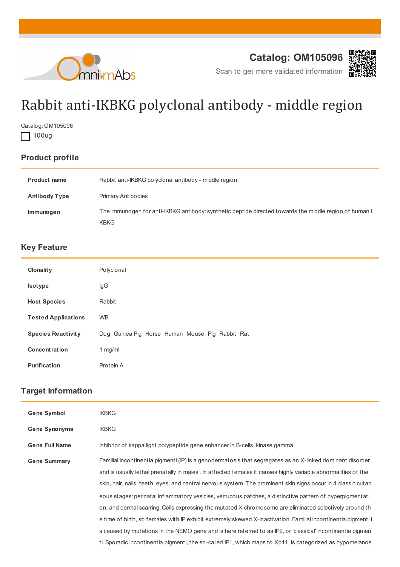



Scan to get more validated information

# Rabbit anti-IKBKG polyclonal antibody - middle region

Catalog: OM105096

 $\Box$  100ug

## **Product profile**

| <b>Product name</b>  | Rabbit anti-IKBKG polyclonal antibody - middle region                                                  |
|----------------------|--------------------------------------------------------------------------------------------------------|
| <b>Antibody Type</b> | <b>Primary Antibodies</b>                                                                              |
| <b>Immunogen</b>     | The immunogen for anti-IKBKG antibody: synthetic peptide directed towards the middle region of human I |
|                      | <b>KBKG</b>                                                                                            |

### **Key Feature**

| <b>Clonality</b>           | Polyclonal                                      |
|----------------------------|-------------------------------------------------|
| <b>Isotype</b>             | lgG                                             |
| <b>Host Species</b>        | Rabbit                                          |
| <b>Tested Applications</b> | <b>WB</b>                                       |
| <b>Species Reactivity</b>  | Dog Guinea Pig Horse Human Mouse Pig Rabbit Rat |
| <b>Concentration</b>       | 1 $mg/ml$                                       |
| <b>Purification</b>        | Protein A                                       |

#### **Target Information**

| <b>Gene Symbol</b>    | <b>IKBKG</b>                                                                                                   |
|-----------------------|----------------------------------------------------------------------------------------------------------------|
| <b>Gene Synonyms</b>  | <b>IKBKG</b>                                                                                                   |
| <b>Gene Full Name</b> | Inhibitor of kappa light polypeptide gene enhancer in B-cells, kinase gamma                                    |
| <b>Gene Summary</b>   | Familial incontinentia pigmenti (IP) is a genodermatosis that segregates as an X-linked dominant disorder      |
|                       | and is usually lethal prenatally in males . In affected females it causes highly variable abnormalities of the |
|                       | skin, hair, nails, teeth, eyes, and central nervous system. The prominent skin signs occur in 4 classic cutan  |
|                       | eous stages: perinatal inflammatory vesicles, verrucous patches, a distinctive pattern of hyperpigmentati      |
|                       | on, and dermal scarring. Cells expressing the mutated X chromosome are eliminated selectively around th        |
|                       | e time of birth, so females with IP exhibit extremely skewed X-inactivation. Familial incontinentia pigmenti i |
|                       | s caused by mutations in the NEMO gene and is here referred to as IP2, or 'classical' incontinentia pigmen     |
|                       | ti. Sporadic incontinentia pigmenti, the so-called IP1, which maps to Xp11, is categorized as hypomelanos      |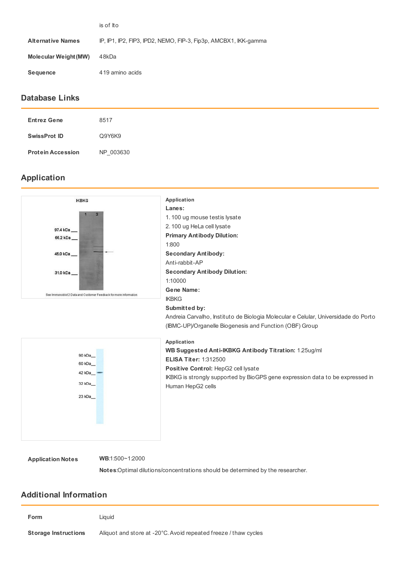|                          | is of Ito                                                       |
|--------------------------|-----------------------------------------------------------------|
| <b>Alternative Names</b> | IP, IP1, IP2, FIP3, IPD2, NEMO, FIP-3, Fip3p, AMCBX1, IKK-gamma |
| Molecular Weight (MW)    | 48kDa                                                           |
| <b>Sequence</b>          | 419 amino acids                                                 |
|                          |                                                                 |

#### **Database Links**

| <b>Entrez Gene</b>       | 8517      |
|--------------------------|-----------|
| <b>SwissProt ID</b>      | Q9Y6K9    |
| <b>Protein Accession</b> | NP 003630 |

#### **Application**



**Notes**:Optimal dilutions/concentrations should be determined by the researcher.

#### **Additional Information**

| Form                        | Liauid                                                          |
|-----------------------------|-----------------------------------------------------------------|
| <b>Storage Instructions</b> | Aliquot and store at -20°C. Avoid repeated freeze / thaw cycles |